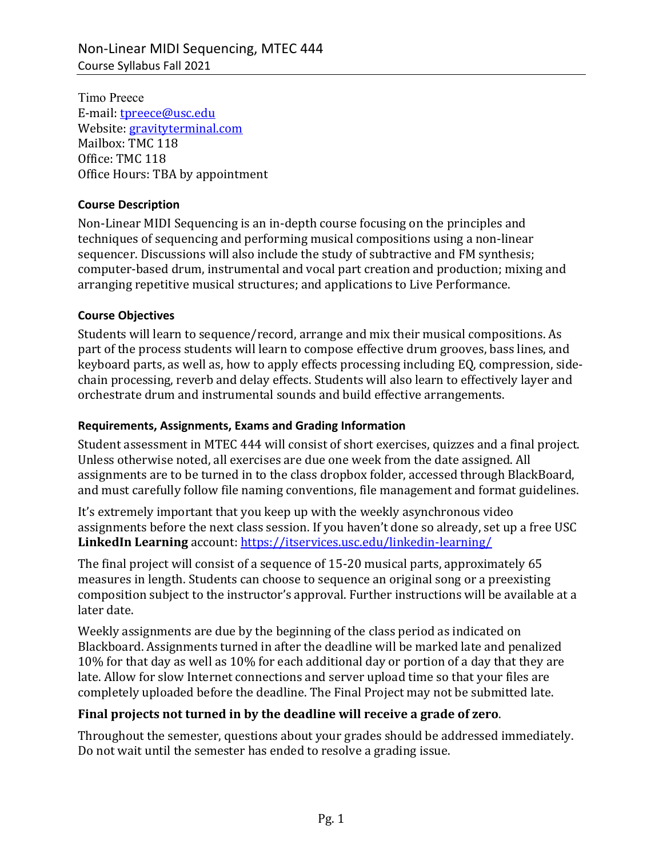Timo Preece E-mail: tpreece@usc.edu Website: gravityterminal.com Mailbox: TMC 118 Office: TMC 118 Office Hours: TBA by appointment

#### **Course Description**

Non-Linear MIDI Sequencing is an in-depth course focusing on the principles and techniques of sequencing and performing musical compositions using a non-linear sequencer. Discussions will also include the study of subtractive and FM synthesis; computer-based drum, instrumental and vocal part creation and production; mixing and arranging repetitive musical structures; and applications to Live Performance.

#### **Course Objectives**

Students will learn to sequence/record, arrange and mix their musical compositions. As part of the process students will learn to compose effective drum grooves, bass lines, and keyboard parts, as well as, how to apply effects processing including EQ, compression, sidechain processing, reverb and delay effects. Students will also learn to effectively layer and orchestrate drum and instrumental sounds and build effective arrangements.

#### **Requirements, Assignments, Exams and Grading Information**

Student assessment in MTEC 444 will consist of short exercises, quizzes and a final project. Unless otherwise noted, all exercises are due one week from the date assigned. All assignments are to be turned in to the class dropbox folder, accessed through BlackBoard, and must carefully follow file naming conventions, file management and format guidelines.

It's extremely important that you keep up with the weekly asynchronous video assignments before the next class session. If you haven't done so already, set up a free USC **LinkedIn Learning** account: https://itservices.usc.edu/linkedin-learning/

The final project will consist of a sequence of 15-20 musical parts, approximately 65 measures in length. Students can choose to sequence an original song or a preexisting composition subject to the instructor's approval. Further instructions will be available at a later date.

Weekly assignments are due by the beginning of the class period as indicated on Blackboard. Assignments turned in after the deadline will be marked late and penalized 10% for that day as well as 10% for each additional day or portion of a day that they are late. Allow for slow Internet connections and server upload time so that your files are completely uploaded before the deadline. The Final Project may not be submitted late.

### Final projects not turned in by the deadline will receive a grade of zero.

Throughout the semester, questions about your grades should be addressed immediately. Do not wait until the semester has ended to resolve a grading issue.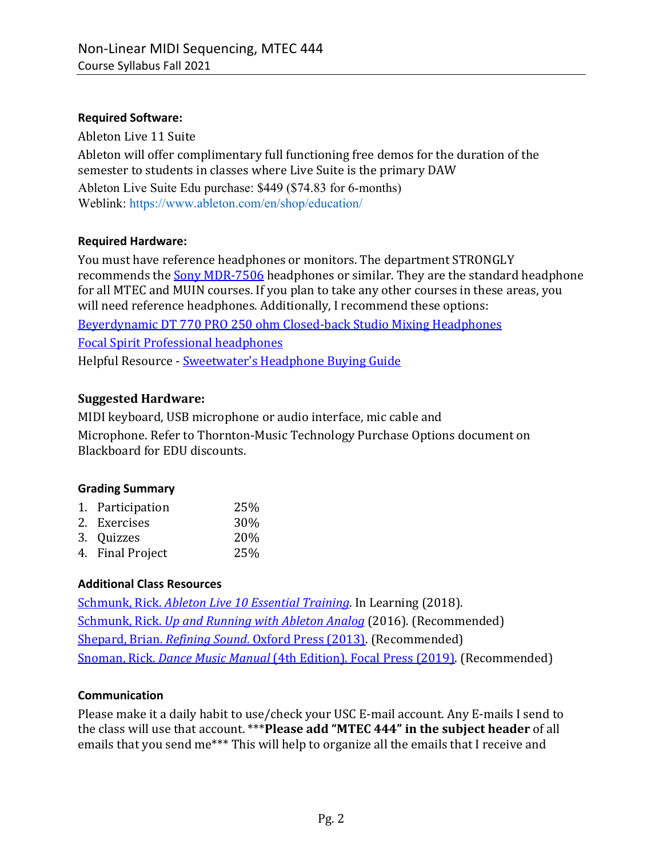### **Required Software:**

Ableton Live 11 Suite Ableton will offer complimentary full functioning free demos for the duration of the semester to students in classes where Live Suite is the primary DAW Ableton Live Suite Edu purchase: \$449 (\$74.83 for 6-months) Weblink: https://www.ableton.com/en/shop/education/

### **Required Hardware:**

You must have reference headphones or monitors. The department STRONGLY recommends the Sony MDR-7506 headphones or similar. They are the standard headphone for all MTEC and MUIN courses. If you plan to take any other courses in these areas, you will need reference headphones. Additionally, I recommend these options: Beyerdynamic DT 770 PRO 250 ohm Closed-back Studio Mixing Headphones Focal Spirit Professional headphones Helpful Resource - Sweetwater's Headphone Buying Guide

## **Suggested Hardware:**

MIDI keyboard, USB microphone or audio interface, mic cable and Microphone. Refer to Thornton-Music Technology Purchase Options document on Blackboard for EDU discounts.

### **Grading Summary**

| 1. Participation | 25% |
|------------------|-----|
| 2. Exercises     | 30% |
| 3. Quizzes       | 20% |
| 4. Final Project | 25% |

### **Additional Class Resources**

Schmunk, Rick. *Ableton Live 10 Essential Training*. In Learning (2018). Schmunk, Rick. Up and Running with *Ableton Analog* (2016). (Recommended) Shepard, Brian. *Refining Sound*. Oxford Press (2013). (Recommended) Snoman, Rick. *Dance Music Manual* (4th Edition). Focal Press (2019). (Recommended)

### **Communication**

Please make it a daily habit to use/check your USC E-mail account. Any E-mails I send to the class will use that account. \*\*\*Please add "MTEC 444" in the subject header of all emails that you send me\*\*\* This will help to organize all the emails that I receive and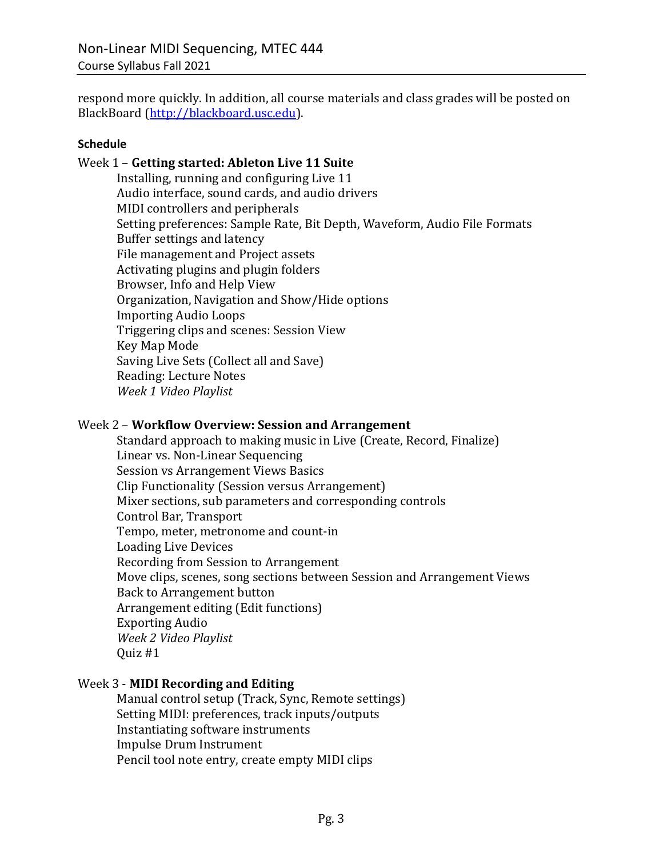respond more quickly. In addition, all course materials and class grades will be posted on BlackBoard (http://blackboard.usc.edu).

#### **Schedule**

#### Week 1 – Getting started: Ableton Live 11 Suite

Installing, running and configuring Live 11 Audio interface, sound cards, and audio drivers MIDI controllers and peripherals Setting preferences: Sample Rate, Bit Depth, Waveform, Audio File Formats Buffer settings and latency File management and Project assets Activating plugins and plugin folders Browser, Info and Help View Organization, Navigation and Show/Hide options Importing Audio Loops Triggering clips and scenes: Session View Key Map Mode Saving Live Sets (Collect all and Save) Reading: Lecture Notes *Week 1 Video Playlist*

#### Week 2 - Workflow Overview: Session and Arrangement

Standard approach to making music in Live (Create, Record, Finalize) Linear vs. Non-Linear Sequencing Session vs Arrangement Views Basics Clip Functionality (Session versus Arrangement) Mixer sections, sub parameters and corresponding controls Control Bar, Transport Tempo, meter, metronome and count-in Loading Live Devices Recording from Session to Arrangement Move clips, scenes, song sections between Session and Arrangement Views Back to Arrangement button Arrangement editing (Edit functions) **Exporting Audio** *Week 2 Video Playlist* Quiz #1

### Week 3 - **MIDI Recording and Editing**

Manual control setup (Track, Sync, Remote settings) Setting MIDI: preferences, track inputs/outputs Instantiating software instruments Impulse Drum Instrument Pencil tool note entry, create empty MIDI clips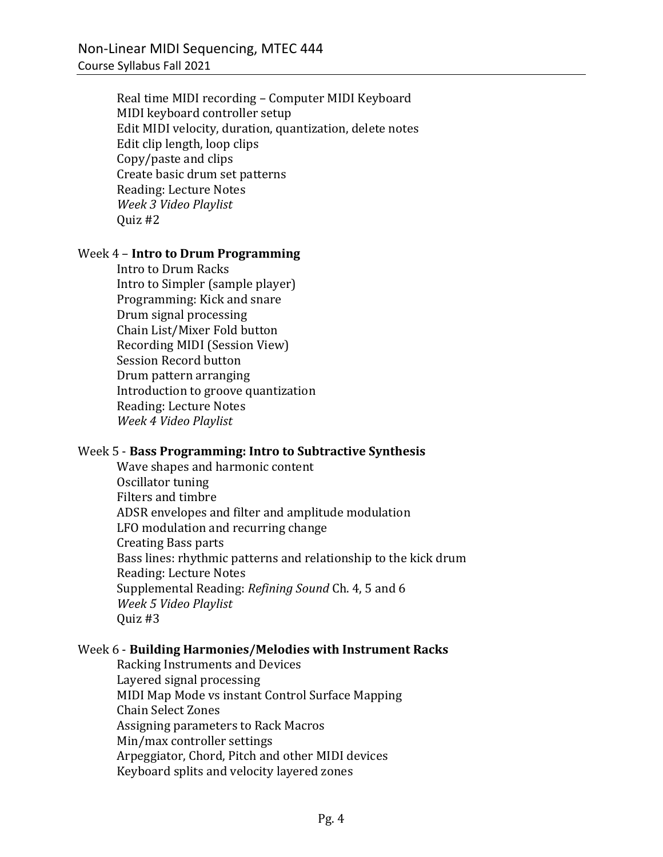Real time MIDI recording - Computer MIDI Keyboard MIDI keyboard controller setup Edit MIDI velocity, duration, quantization, delete notes Edit clip length, loop clips Copy/paste and clips Create basic drum set patterns Reading: Lecture Notes *Week 3 Video Playlist* Quiz #2

#### Week 4 – **Intro to Drum Programming**

Intro to Drum Racks Intro to Simpler (sample player) Programming: Kick and snare Drum signal processing Chain List/Mixer Fold button Recording MIDI (Session View) Session Record button Drum pattern arranging Introduction to groove quantization Reading: Lecture Notes *Week 4 Video Playlist*

### Week 5 - **Bass Programming: Intro to Subtractive Synthesis**

Wave shapes and harmonic content Oscillator tuning Filters and timbre ADSR envelopes and filter and amplitude modulation LFO modulation and recurring change Creating Bass parts Bass lines: rhythmic patterns and relationship to the kick drum Reading: Lecture Notes Supplemental Reading: *Refining Sound* Ch. 4, 5 and 6 *Week 5 Video Playlist* Quiz #3

# Week 6 - **Building Harmonies/Melodies with Instrument Racks**

Racking Instruments and Devices Layered signal processing MIDI Map Mode vs instant Control Surface Mapping Chain Select Zones Assigning parameters to Rack Macros Min/max controller settings Arpeggiator, Chord, Pitch and other MIDI devices Keyboard splits and velocity layered zones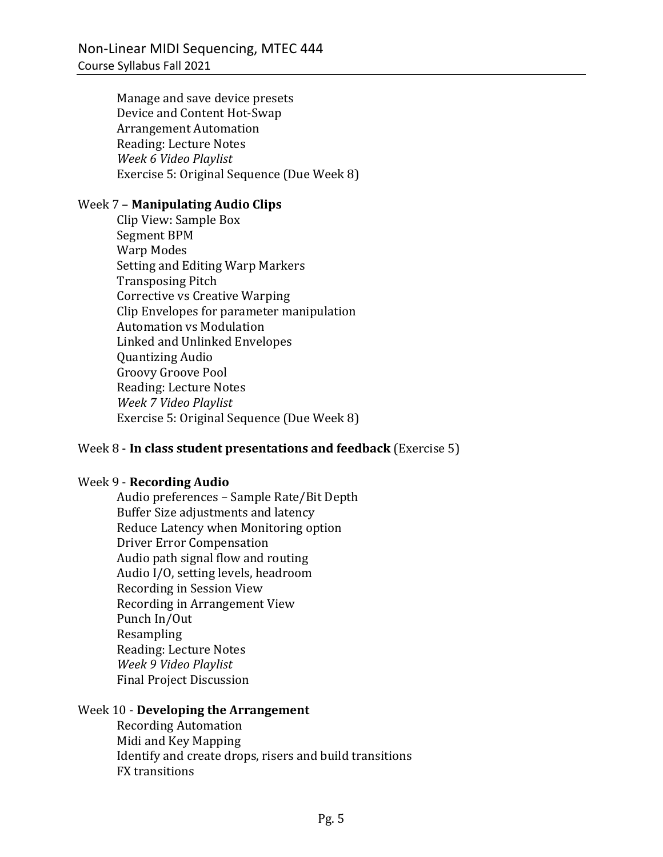Manage and save device presets Device and Content Hot-Swap **Arrangement Automation** Reading: Lecture Notes *Week 6 Video Playlist* Exercise 5: Original Sequence (Due Week 8)

### Week 7 - **Manipulating Audio Clips**

Clip View: Sample Box Segment BPM Warp Modes Setting and Editing Warp Markers **Transposing Pitch** Corrective vs Creative Warping Clip Envelopes for parameter manipulation **Automation vs Modulation** Linked and Unlinked Envelopes Quantizing Audio Groovy Groove Pool Reading: Lecture Notes *Week 7 Video Playlist* Exercise 5: Original Sequence (Due Week 8)

### Week 8 - In class student presentations and feedback (Exercise 5)

### Week 9 - **Recording Audio**

Audio preferences - Sample Rate/Bit Depth Buffer Size adjustments and latency Reduce Latency when Monitoring option **Driver Error Compensation** Audio path signal flow and routing Audio I/O, setting levels, headroom Recording in Session View Recording in Arrangement View Punch In/Out Resampling Reading: Lecture Notes *Week 9 Video Playlist* Final Project Discussion

### Week 10 - **Developing the Arrangement**

Recording Automation Midi and Key Mapping Identify and create drops, risers and build transitions **FX** transitions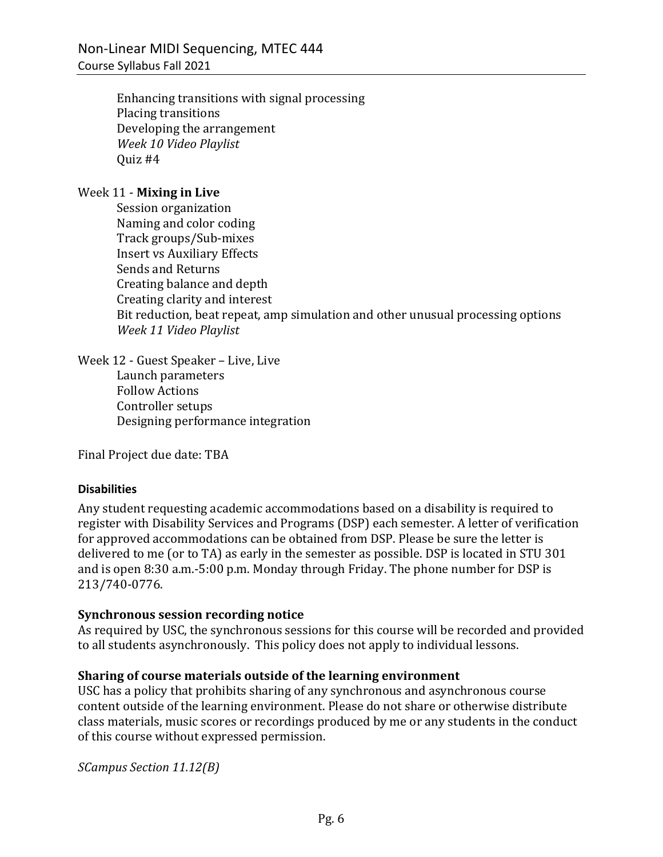Enhancing transitions with signal processing Placing transitions Developing the arrangement *Week 10 Video Playlist* Quiz #4

### Week 11 - **Mixing in Live**

Session organization Naming and color coding Track groups/Sub-mixes **Insert vs Auxiliary Effects** Sends and Returns Creating balance and depth Creating clarity and interest Bit reduction, beat repeat, amp simulation and other unusual processing options *Week 11 Video Playlist*

Week 12 - Guest Speaker - Live, Live Launch parameters Follow Actions Controller setups Designing performance integration

Final Project due date: TBA

### **Disabilities**

Any student requesting academic accommodations based on a disability is required to register with Disability Services and Programs (DSP) each semester. A letter of verification for approved accommodations can be obtained from DSP. Please be sure the letter is delivered to me (or to TA) as early in the semester as possible. DSP is located in STU 301 and is open  $8:30$  a.m.-5:00 p.m. Monday through Friday. The phone number for DSP is 213/740-0776.

### **Synchronous session recording notice**

As required by USC, the synchronous sessions for this course will be recorded and provided to all students asynchronously. This policy does not apply to individual lessons.

### **Sharing of course materials outside of the learning environment**

USC has a policy that prohibits sharing of any synchronous and asynchronous course content outside of the learning environment. Please do not share or otherwise distribute class materials, music scores or recordings produced by me or any students in the conduct of this course without expressed permission.

*SCampus Section 11.12(B)*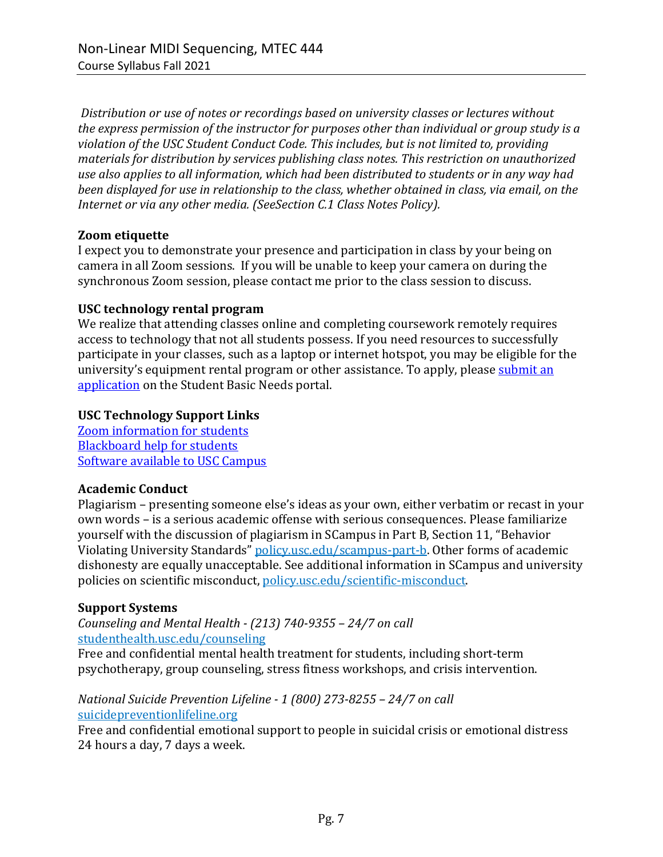Distribution or use of notes or recordings based on university classes or lectures without *the express permission of the instructor for purposes other than individual or group study is a* violation of the USC Student Conduct Code. This includes, but is not limited to, providing *materials for distribution by services publishing class notes. This restriction on unauthorized* use also applies to all information, which had been distributed to students or in any way had *been displayed for use in relationship to the class, whether obtained in class, via email, on the Internet or via any other media. (SeeSection C.1 Class Notes Policy).* 

### **Zoom etiquette**

I expect you to demonstrate your presence and participation in class by your being on camera in all Zoom sessions. If you will be unable to keep your camera on during the synchronous Zoom session, please contact me prior to the class session to discuss.

#### **USC technology rental program**

We realize that attending classes online and completing coursework remotely requires access to technology that not all students possess. If you need resources to successfully participate in your classes, such as a laptop or internet hotspot, you may be eligible for the university's equipment rental program or other assistance. To apply, please submit an application on the Student Basic Needs portal.

#### **USC Technology Support Links**

Zoom information for students **Blackboard help for students** Software available to USC Campus

### **Academic Conduct**

Plagiarism – presenting someone else's ideas as your own, either verbatim or recast in your own words - is a serious academic offense with serious consequences. Please familiarize yourself with the discussion of plagiarism in SCampus in Part B, Section 11, "Behavior Violating University Standards" policy.usc.edu/scampus-part-b. Other forms of academic dishonesty are equally unacceptable. See additional information in SCampus and university policies on scientific misconduct, policy.usc.edu/scientific-misconduct.

### **Support Systems**

*Counseling and Mental Health - (213) 740-9355 – 24/7 on call* studenthealth.usc.edu/counseling

Free and confidential mental health treatment for students, including short-term psychotherapy, group counseling, stress fitness workshops, and crisis intervention.

### *National Suicide Prevention Lifeline - 1 (800) 273-8255 – 24/7 on call* suicidepreventionlifeline.org

Free and confidential emotional support to people in suicidal crisis or emotional distress 24 hours a day, 7 days a week.